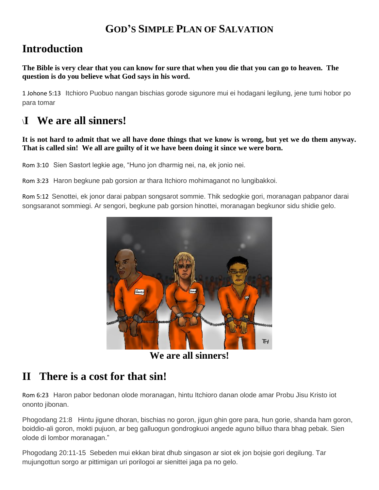#### **GOD'S SIMPLE PLAN OF SALVATION**

# **Introduction**

**The Bible is very clear that you can know for sure that when you die that you can go to heaven. The question is do you believe what God says in his word.**

1 Johone 5:13 Itchioro Puobuo nangan bischias gorode sigunore mui ei hodagani legilung, jene tumi hobor po para tomar

# \**I We are all sinners!**

#### **It is not hard to admit that we all have done things that we know is wrong, but yet we do them anyway. That is called sin! We all are guilty of it we have been doing it since we were born.**

Rom 3:10 Sien Sastort legkie age, "Huno jon dharmig nei, na, ek jonio nei.

Rom 3:23 Haron begkune pab gorsion ar thara Itchioro mohimaganot no lungibakkoi.

Rom 5:12 Senottei, ek jonor darai pabpan songsarot sommie. Thik sedogkie gori, moranagan pabpanor darai songsaranot sommiegi. Ar sengori, begkune pab gorsion hinottei, moranagan begkunor sidu shidie gelo.



**We are all sinners!**

# **II There is a cost for that sin!**

Rom 6:23 Haron pabor bedonan olode moranagan, hintu Itchioro danan olode amar Probu Jisu Kristo iot ononto jibonan.

Phogodang 21:8 Hintu jigune dhoran, bischias no goron, jigun ghin gore para, hun gorie, shanda ham goron, boiddio-ali goron, mokti pujuon, ar beg galluogun gondrogkuoi angede aguno billuo thara bhag pebak. Sien olode di lombor moranagan."

Phogodang 20:11-15 Sebeden mui ekkan birat dhub singason ar siot ek jon bojsie gori degilung. Tar mujungottun sorgo ar pittimigan uri porilogoi ar sienittei jaga pa no gelo.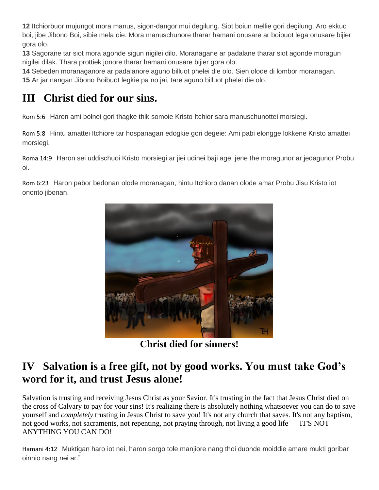**12** Itchiorbuor mujungot mora manus, sigon-dangor mui degilung. Siot boiun mellie gori degilung. Aro ekkuo boi, jibe Jibono Boi, sibie mela oie. Mora manuschunore tharar hamani onusare ar boibuot lega onusare bijier gora olo.

**13** Sagorane tar siot mora agonde sigun nigilei dilo. Moranagane ar padalane tharar siot agonde moragun nigilei dilak. Thara prottiek jonore tharar hamani onusare bijier gora olo.

**14** Sebeden moranaganore ar padalanore aguno billuot phelei die olo. Sien olode di lombor moranagan. **15** Ar jar nangan Jibono Boibuot legkie pa no jai, tare aguno billuot phelei die olo.

# **III Christ died for our sins.**

Rom 5:6 Haron ami bolnei gori thagke thik somoie Kristo Itchior sara manuschunottei morsiegi.

Rom 5:8 Hintu amattei Itchiore tar hospanagan edogkie gori degeie: Ami pabi elongge lokkene Kristo amattei morsiegi.

Roma 14:9 Haron sei uddischuoi Kristo morsiegi ar jiei udinei baji age, jene the moragunor ar jedagunor Probu oi.

Rom 6:23 Haron pabor bedonan olode moranagan, hintu Itchioro danan olode amar Probu Jisu Kristo iot ononto jibonan.



**Christ died for sinners!**

# **IV Salvation is a free gift, not by good works. You must take God's word for it, and trust Jesus alone!**

Salvation is trusting and receiving Jesus Christ as your Savior. It's trusting in the fact that Jesus Christ died on the cross of Calvary to pay for your sins! It's realizing there is absolutely nothing whatsoever you can do to save yourself and *completely* trusting in Jesus Christ to save you! It's not any church that saves. It's not any baptism, not good works, not sacraments, not repenting, not praying through, not living a good life — IT'S NOT ANYTHING YOU CAN DO!

Hamani 4:12 Muktigan haro iot nei, haron sorgo tole manjiore nang thoi duonde moiddie amare mukti goribar oinnio nang nei ar."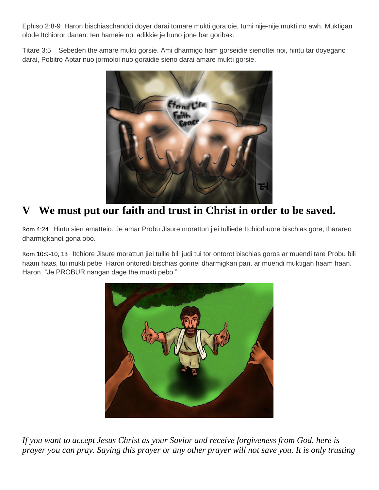Ephiso 2:8-9 Haron bischiaschandoi doyer darai tomare mukti gora oie, tumi nije-nije mukti no awh. Muktigan olode Itchioror danan. Ien hameie noi adikkie je huno jone bar goribak.

Titare 3:5 Sebeden the amare mukti gorsie. Ami dharmigo ham gorseidie sienottei noi, hintu tar doyegano darai, Pobitro Aptar nuo jormoloi nuo goraidie sieno darai amare mukti gorsie.



#### **V We must put our faith and trust in Christ in order to be saved.**

Rom 4:24 Hintu sien amatteio. Je amar Probu Jisure morattun jiei tulliede Itchiorbuore bischias gore, tharareo dharmigkanot gona obo.

Rom 10:9-10, 13 Itchiore Jisure morattun jiei tullie bili judi tui tor ontorot bischias goros ar muendi tare Probu bili haam haas, tui mukti pebe. Haron ontoredi bischias gorinei dharmigkan pan, ar muendi muktigan haam haan. Haron, "Je PROBUR nangan dage the mukti pebo."



*If you want to accept Jesus Christ as your Savior and receive forgiveness from God, here is prayer you can pray. Saying this prayer or any other prayer will not save you. It is only trusting*